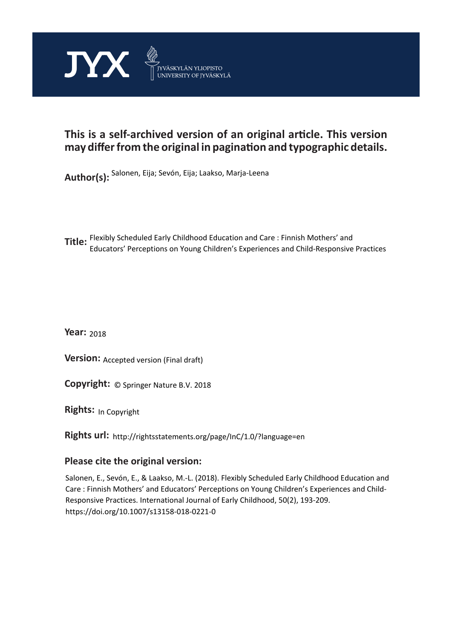

# **This is a self-archived version of an original article. This version may differ from the original in pagination and typographic details.**

**Author(s):**  Salonen, Eija; Sevón, Eija; Laakso, Marja-Leena

**Title:**  Flexibly Scheduled Early Childhood Education and Care : Finnish Mothers' and Educators' Perceptions on Young Children's Experiences and Child-Responsive Practices

**Year:**  2018

**Version: Accepted version (Final draft)** 

**Version:** Accepted version (Final draft)<br>**Copyright:** © Springer Nature B.V. 2018

**Rights:** In Copyright

**Rights url:**  http://rightsstatements.org/page/InC/1.0/?language=en

# **Please cite the original version:**

Salonen, E., Sevón, E., & Laakso, M.-L. (2018). Flexibly Scheduled Early Childhood Education and Care : Finnish Mothers' and Educators' Perceptions on Young Children's Experiences and Child-Responsive Practices. International Journal of Early Childhood, 50(2), 193-209. https://doi.org/10.1007/s13158-018-0221-0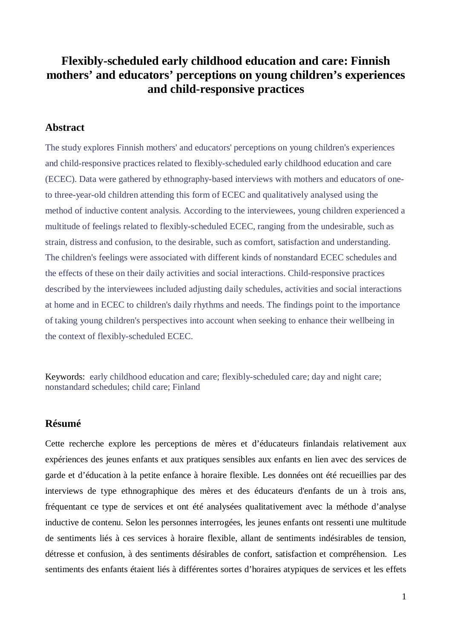# **Flexibly-scheduled early childhood education and care: Finnish mothers' and educators' perceptions on young children's experiences and child-responsive practices**

## **Abstract**

The study explores Finnish mothers' and educators' perceptions on young children's experiences and child-responsive practices related to flexibly-scheduled early childhood education and care (ECEC). Data were gathered by ethnography-based interviews with mothers and educators of oneto three-year-old children attending this form of ECEC and qualitatively analysed using the method of inductive content analysis. According to the interviewees, young children experienced a multitude of feelings related to flexibly-scheduled ECEC, ranging from the undesirable, such as strain, distress and confusion, to the desirable, such as comfort, satisfaction and understanding. The children's feelings were associated with different kinds of nonstandard ECEC schedules and the effects of these on their daily activities and social interactions. Child-responsive practices described by the interviewees included adjusting daily schedules, activities and social interactions at home and in ECEC to children's daily rhythms and needs. The findings point to the importance of taking young children's perspectives into account when seeking to enhance their wellbeing in the context of flexibly-scheduled ECEC.

Keywords: early childhood education and care; flexibly-scheduled care; day and night care; nonstandard schedules; child care; Finland

# **Résumé**

Cette recherche explore les perceptions de mères et d'éducateurs finlandais relativement aux expériences des jeunes enfants et aux pratiques sensibles aux enfants en lien avec des services de garde et d'éducation à la petite enfance à horaire flexible. Les données ont été recueillies par des interviews de type ethnographique des mères et des éducateurs d'enfants de un à trois ans, fréquentant ce type de services et ont été analysées qualitativement avec la méthode d'analyse inductive de contenu. Selon les personnes interrogées, les jeunes enfants ont ressenti une multitude de sentiments liés à ces services à horaire flexible, allant de sentiments indésirables de tension, détresse et confusion, à des sentiments désirables de confort, satisfaction et compréhension. Les sentiments des enfants étaient liés à différentes sortes d'horaires atypiques de services et les effets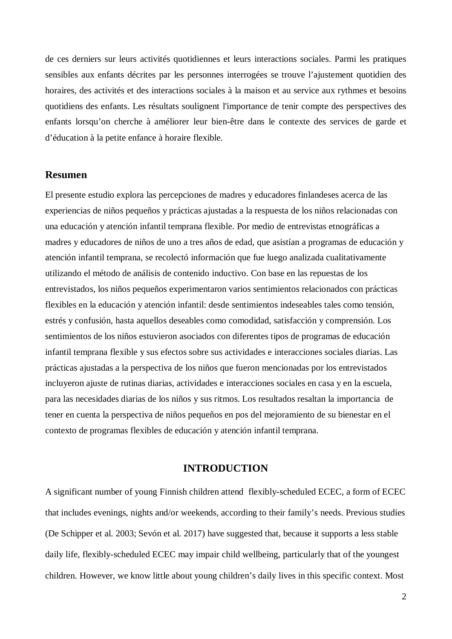de ces derniers sur leurs activités quotidiennes et leurs interactions sociales. Parmi les pratiques sensibles aux enfants décrites par les personnes interrogées se trouve l'ajustement quotidien des horaires, des activités et des interactions sociales à la maison et au service aux rythmes et besoins quotidiens des enfants. Les résultats soulignent l'importance de tenir compte des perspectives des enfants lorsqu'on cherche à améliorer leur bien-être dans le contexte des services de garde et d'éducation à la petite enfance à horaire flexible.

# **Resumen**

El presente estudio explora las percepciones de madres y educadores finlandeses acerca de las experiencias de niños pequeños y prácticas ajustadas a la respuesta de los niños relacionadas con una educación y atención infantil temprana flexible. Por medio de entrevistas etnográficas a madres y educadores de niños de uno a tres años de edad, que asistían a programas de educación y atención infantil temprana, se recolectó información que fue luego analizada cualitativamente utilizando el método de análisis de contenido inductivo. Con base en las repuestas de los entrevistados, los niños pequeños experimentaron varios sentimientos relacionados con prácticas flexibles en la educación y atención infantil: desde sentimientos indeseables tales como tensión, estrés y confusión, hasta aquellos deseables como comodidad, satisfacción y comprensión. Los sentimientos de los niños estuvieron asociados con diferentes tipos de programas de educación infantil temprana flexible y sus efectos sobre sus actividades e interacciones sociales diarias. Las prácticas ajustadas a la perspectiva de los niños que fueron mencionadas por los entrevistados incluyeron ajuste de rutinas diarias, actividades e interacciones sociales en casa y en la escuela, para las necesidades diarias de los niños y sus ritmos. Los resultados resaltan la importancia de tener en cuenta la perspectiva de niños pequeños en pos del mejoramiento de su bienestar en el contexto de programas flexibles de educación y atención infantil temprana.

### **INTRODUCTION**

A significant number of young Finnish children attend flexibly-scheduled ECEC, a form of ECEC that includes evenings, nights and/or weekends, according to their family's needs. Previous studies (De Schipper et al. 2003; Sevón et al. 2017) have suggested that, because it supports a less stable daily life, flexibly-scheduled ECEC may impair child wellbeing, particularly that of the youngest children. However, we know little about young children's daily lives in this specific context. Most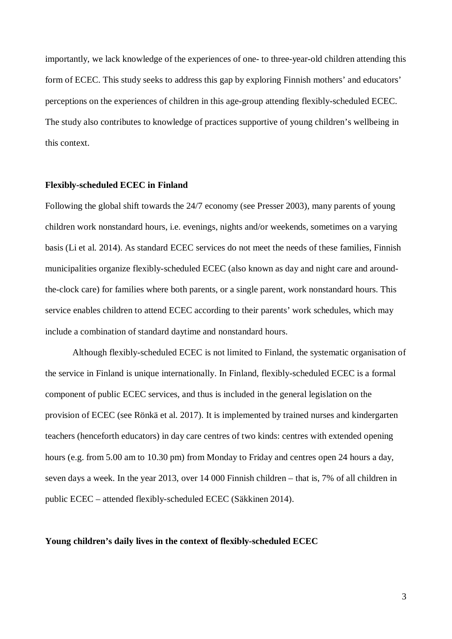importantly, we lack knowledge of the experiences of one- to three-year-old children attending this form of ECEC. This study seeks to address this gap by exploring Finnish mothers' and educators' perceptions on the experiences of children in this age-group attending flexibly-scheduled ECEC. The study also contributes to knowledge of practices supportive of young children's wellbeing in this context.

#### **Flexibly-scheduled ECEC in Finland**

Following the global shift towards the 24/7 economy (see Presser 2003), many parents of young children work nonstandard hours, i.e. evenings, nights and/or weekends, sometimes on a varying basis (Li et al. 2014). As standard ECEC services do not meet the needs of these families, Finnish municipalities organize flexibly-scheduled ECEC (also known as day and night care and aroundthe-clock care) for families where both parents, or a single parent, work nonstandard hours. This service enables children to attend ECEC according to their parents' work schedules, which may include a combination of standard daytime and nonstandard hours.

Although flexibly-scheduled ECEC is not limited to Finland, the systematic organisation of the service in Finland is unique internationally. In Finland, flexibly-scheduled ECEC is a formal component of public ECEC services, and thus is included in the general legislation on the provision of ECEC (see Rönkä et al. 2017). It is implemented by trained nurses and kindergarten teachers (henceforth educators) in day care centres of two kinds: centres with extended opening hours (e.g. from 5.00 am to 10.30 pm) from Monday to Friday and centres open 24 hours a day, seven days a week. In the year 2013, over 14 000 Finnish children – that is, 7% of all children in public ECEC – attended flexibly-scheduled ECEC (Säkkinen 2014).

### **Young children's daily lives in the context of flexibly-scheduled ECEC**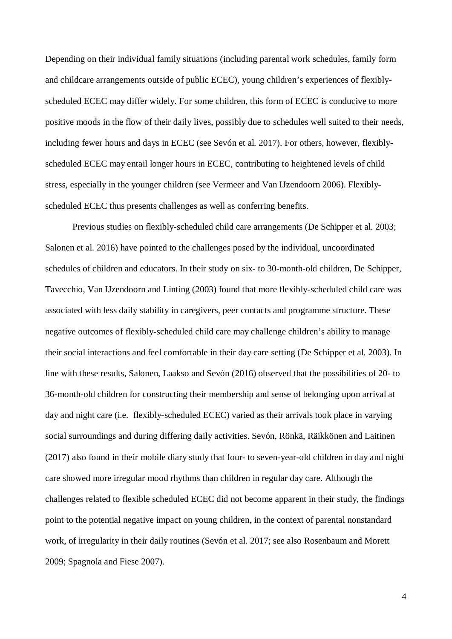Depending on their individual family situations (including parental work schedules, family form and childcare arrangements outside of public ECEC), young children's experiences of flexiblyscheduled ECEC may differ widely. For some children, this form of ECEC is conducive to more positive moods in the flow of their daily lives, possibly due to schedules well suited to their needs, including fewer hours and days in ECEC (see Sevón et al. 2017). For others, however, flexiblyscheduled ECEC may entail longer hours in ECEC, contributing to heightened levels of child stress, especially in the younger children (see Vermeer and Van IJzendoorn 2006). Flexiblyscheduled ECEC thus presents challenges as well as conferring benefits.

Previous studies on flexibly-scheduled child care arrangements (De Schipper et al. 2003; Salonen et al. 2016) have pointed to the challenges posed by the individual, uncoordinated schedules of children and educators. In their study on six- to 30-month-old children, De Schipper, Tavecchio, Van IJzendoorn and Linting (2003) found that more flexibly-scheduled child care was associated with less daily stability in caregivers, peer contacts and programme structure. These negative outcomes of flexibly-scheduled child care may challenge children's ability to manage their social interactions and feel comfortable in their day care setting (De Schipper et al. 2003). In line with these results, Salonen, Laakso and Sevón (2016) observed that the possibilities of 20- to 36-month-old children for constructing their membership and sense of belonging upon arrival at day and night care (i.e. flexibly-scheduled ECEC) varied as their arrivals took place in varying social surroundings and during differing daily activities. Sevón, Rönkä, Räikkönen and Laitinen (2017) also found in their mobile diary study that four- to seven-year-old children in day and night care showed more irregular mood rhythms than children in regular day care. Although the challenges related to flexible scheduled ECEC did not become apparent in their study, the findings point to the potential negative impact on young children, in the context of parental nonstandard work, of irregularity in their daily routines (Sevón et al. 2017; see also Rosenbaum and Morett 2009; Spagnola and Fiese 2007).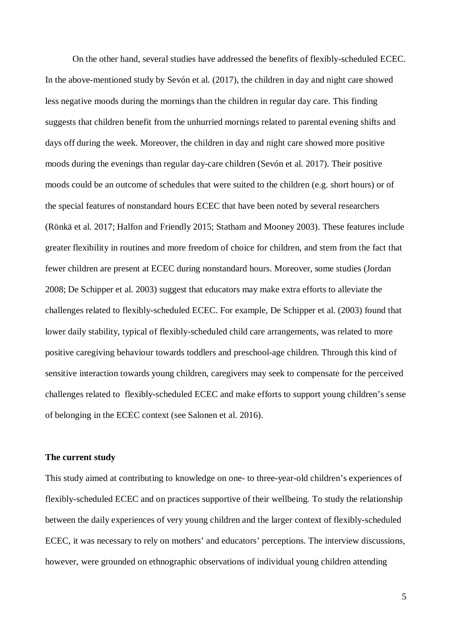On the other hand, several studies have addressed the benefits of flexibly-scheduled ECEC. In the above-mentioned study by Sevón et al. (2017), the children in day and night care showed less negative moods during the mornings than the children in regular day care. This finding suggests that children benefit from the unhurried mornings related to parental evening shifts and days off during the week. Moreover, the children in day and night care showed more positive moods during the evenings than regular day-care children (Sevón et al. 2017). Their positive moods could be an outcome of schedules that were suited to the children (e.g. short hours) or of the special features of nonstandard hours ECEC that have been noted by several researchers (Rönkä et al. 2017; Halfon and Friendly 2015; Statham and Mooney 2003). These features include greater flexibility in routines and more freedom of choice for children, and stem from the fact that fewer children are present at ECEC during nonstandard hours. Moreover, some studies (Jordan 2008; De Schipper et al. 2003) suggest that educators may make extra efforts to alleviate the challenges related to flexibly-scheduled ECEC. For example, De Schipper et al. (2003) found that lower daily stability, typical of flexibly-scheduled child care arrangements, was related to more positive caregiving behaviour towards toddlers and preschool-age children. Through this kind of sensitive interaction towards young children, caregivers may seek to compensate for the perceived challenges related to flexibly-scheduled ECEC and make efforts to support young children's sense of belonging in the ECEC context (see Salonen et al. 2016).

### **The current study**

This study aimed at contributing to knowledge on one- to three-year-old children's experiences of flexibly-scheduled ECEC and on practices supportive of their wellbeing. To study the relationship between the daily experiences of very young children and the larger context of flexibly-scheduled ECEC, it was necessary to rely on mothers' and educators' perceptions. The interview discussions, however, were grounded on ethnographic observations of individual young children attending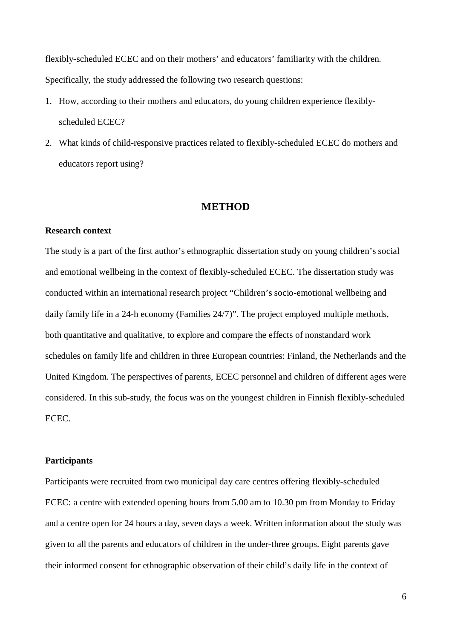flexibly-scheduled ECEC and on their mothers' and educators' familiarity with the children. Specifically, the study addressed the following two research questions:

- 1. How, according to their mothers and educators, do young children experience flexiblyscheduled ECEC?
- 2. What kinds of child-responsive practices related to flexibly-scheduled ECEC do mothers and educators report using?

# **METHOD**

# **Research context**

The study is a part of the first author's ethnographic dissertation study on young children's social and emotional wellbeing in the context of flexibly-scheduled ECEC. The dissertation study was conducted within an international research project "Children's socio-emotional wellbeing and daily family life in a 24-h economy (Families 24/7)". The project employed multiple methods, both quantitative and qualitative, to explore and compare the effects of nonstandard work schedules on family life and children in three European countries: Finland, the Netherlands and the United Kingdom. The perspectives of parents, ECEC personnel and children of different ages were considered. In this sub-study, the focus was on the youngest children in Finnish flexibly-scheduled ECEC.

# **Participants**

Participants were recruited from two municipal day care centres offering flexibly-scheduled ECEC: a centre with extended opening hours from 5.00 am to 10.30 pm from Monday to Friday and a centre open for 24 hours a day, seven days a week. Written information about the study was given to all the parents and educators of children in the under-three groups. Eight parents gave their informed consent for ethnographic observation of their child's daily life in the context of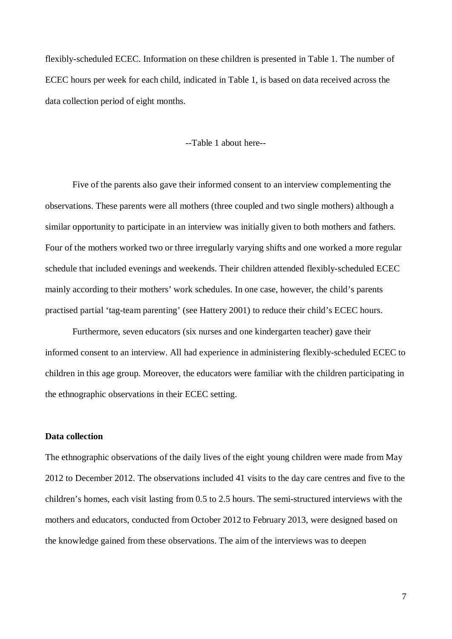flexibly-scheduled ECEC. Information on these children is presented in Table 1. The number of ECEC hours per week for each child, indicated in Table 1, is based on data received across the data collection period of eight months.

--Table 1 about here--

Five of the parents also gave their informed consent to an interview complementing the observations. These parents were all mothers (three coupled and two single mothers) although a similar opportunity to participate in an interview was initially given to both mothers and fathers. Four of the mothers worked two or three irregularly varying shifts and one worked a more regular schedule that included evenings and weekends. Their children attended flexibly-scheduled ECEC mainly according to their mothers' work schedules. In one case, however, the child's parents practised partial 'tag-team parenting' (see Hattery 2001) to reduce their child's ECEC hours.

Furthermore, seven educators (six nurses and one kindergarten teacher) gave their informed consent to an interview. All had experience in administering flexibly-scheduled ECEC to children in this age group. Moreover, the educators were familiar with the children participating in the ethnographic observations in their ECEC setting.

### **Data collection**

The ethnographic observations of the daily lives of the eight young children were made from May 2012 to December 2012. The observations included 41 visits to the day care centres and five to the children's homes, each visit lasting from 0.5 to 2.5 hours. The semi-structured interviews with the mothers and educators, conducted from October 2012 to February 2013, were designed based on the knowledge gained from these observations. The aim of the interviews was to deepen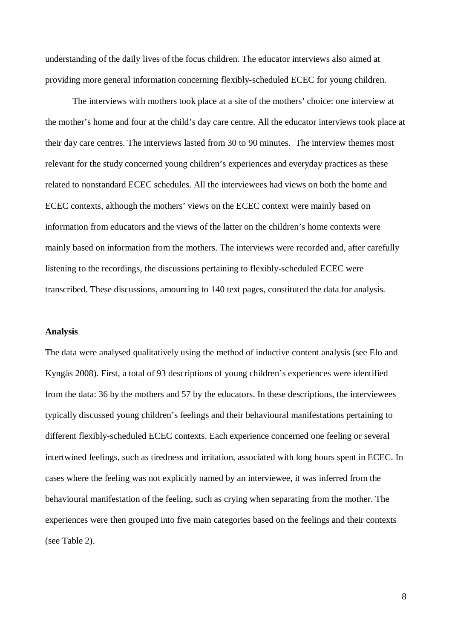understanding of the daily lives of the focus children. The educator interviews also aimed at providing more general information concerning flexibly-scheduled ECEC for young children.

The interviews with mothers took place at a site of the mothers' choice: one interview at the mother's home and four at the child's day care centre. All the educator interviews took place at their day care centres. The interviews lasted from 30 to 90 minutes. The interview themes most relevant for the study concerned young children's experiences and everyday practices as these related to nonstandard ECEC schedules. All the interviewees had views on both the home and ECEC contexts, although the mothers' views on the ECEC context were mainly based on information from educators and the views of the latter on the children's home contexts were mainly based on information from the mothers. The interviews were recorded and, after carefully listening to the recordings, the discussions pertaining to flexibly-scheduled ECEC were transcribed. These discussions, amounting to 140 text pages, constituted the data for analysis.

#### **Analysis**

The data were analysed qualitatively using the method of inductive content analysis (see Elo and Kyngäs 2008). First, a total of 93 descriptions of young children's experiences were identified from the data: 36 by the mothers and 57 by the educators. In these descriptions, the interviewees typically discussed young children's feelings and their behavioural manifestations pertaining to different flexibly-scheduled ECEC contexts. Each experience concerned one feeling or several intertwined feelings, such as tiredness and irritation, associated with long hours spent in ECEC. In cases where the feeling was not explicitly named by an interviewee, it was inferred from the behavioural manifestation of the feeling, such as crying when separating from the mother. The experiences were then grouped into five main categories based on the feelings and their contexts (see Table 2).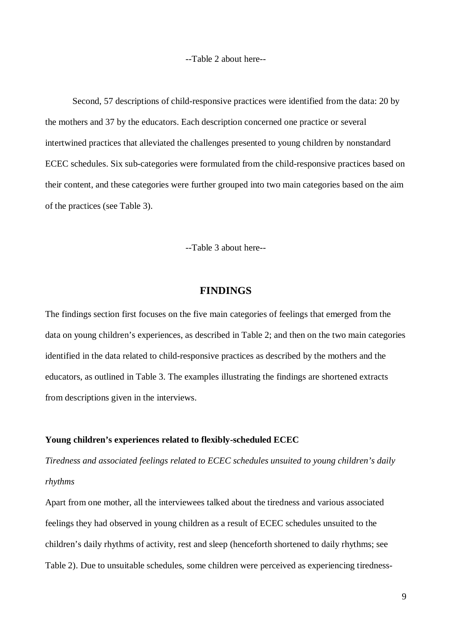--Table 2 about here--

Second, 57 descriptions of child-responsive practices were identified from the data: 20 by the mothers and 37 by the educators. Each description concerned one practice or several intertwined practices that alleviated the challenges presented to young children by nonstandard ECEC schedules. Six sub-categories were formulated from the child-responsive practices based on their content, and these categories were further grouped into two main categories based on the aim of the practices (see Table 3).

--Table 3 about here--

# **FINDINGS**

The findings section first focuses on the five main categories of feelings that emerged from the data on young children's experiences, as described in Table 2; and then on the two main categories identified in the data related to child-responsive practices as described by the mothers and the educators, as outlined in Table 3. The examples illustrating the findings are shortened extracts from descriptions given in the interviews.

### **Young children's experiences related to flexibly-scheduled ECEC**

*Tiredness and associated feelings related to ECEC schedules unsuited to young children's daily rhythms*

Apart from one mother, all the interviewees talked about the tiredness and various associated feelings they had observed in young children as a result of ECEC schedules unsuited to the children's daily rhythms of activity, rest and sleep (henceforth shortened to daily rhythms; see Table 2). Due to unsuitable schedules, some children were perceived as experiencing tiredness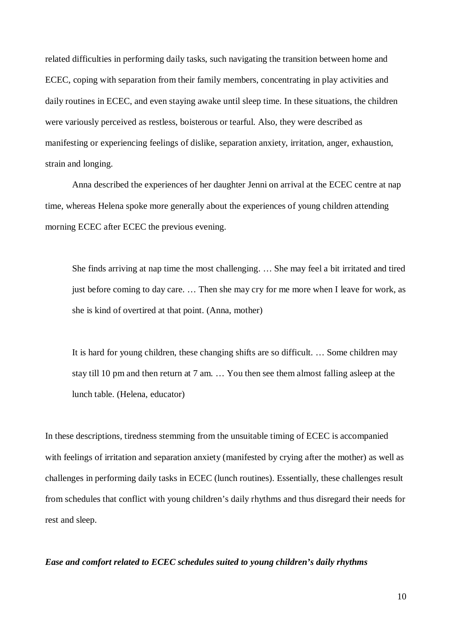related difficulties in performing daily tasks, such navigating the transition between home and ECEC, coping with separation from their family members, concentrating in play activities and daily routines in ECEC, and even staying awake until sleep time. In these situations, the children were variously perceived as restless, boisterous or tearful. Also, they were described as manifesting or experiencing feelings of dislike, separation anxiety, irritation, anger, exhaustion, strain and longing.

Anna described the experiences of her daughter Jenni on arrival at the ECEC centre at nap time, whereas Helena spoke more generally about the experiences of young children attending morning ECEC after ECEC the previous evening.

She finds arriving at nap time the most challenging. … She may feel a bit irritated and tired just before coming to day care. … Then she may cry for me more when I leave for work, as she is kind of overtired at that point. (Anna, mother)

It is hard for young children, these changing shifts are so difficult. … Some children may stay till 10 pm and then return at 7 am. … You then see them almost falling asleep at the lunch table. (Helena, educator)

In these descriptions, tiredness stemming from the unsuitable timing of ECEC is accompanied with feelings of irritation and separation anxiety (manifested by crying after the mother) as well as challenges in performing daily tasks in ECEC (lunch routines). Essentially, these challenges result from schedules that conflict with young children's daily rhythms and thus disregard their needs for rest and sleep.

*Ease and comfort related to ECEC schedules suited to young children's daily rhythms*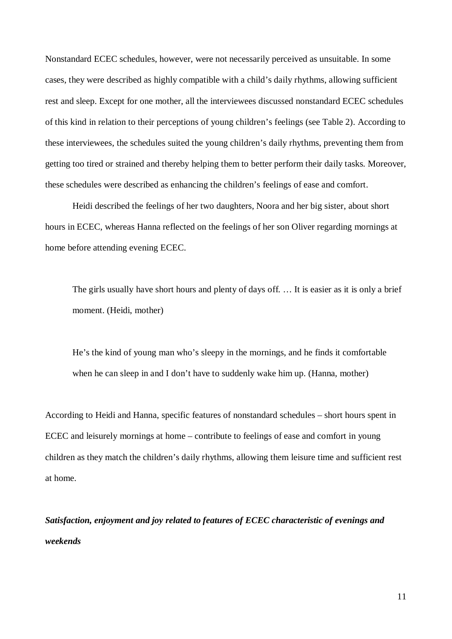Nonstandard ECEC schedules, however, were not necessarily perceived as unsuitable. In some cases, they were described as highly compatible with a child's daily rhythms, allowing sufficient rest and sleep. Except for one mother, all the interviewees discussed nonstandard ECEC schedules of this kind in relation to their perceptions of young children's feelings (see Table 2). According to these interviewees, the schedules suited the young children's daily rhythms, preventing them from getting too tired or strained and thereby helping them to better perform their daily tasks. Moreover, these schedules were described as enhancing the children's feelings of ease and comfort.

Heidi described the feelings of her two daughters, Noora and her big sister, about short hours in ECEC, whereas Hanna reflected on the feelings of her son Oliver regarding mornings at home before attending evening ECEC.

The girls usually have short hours and plenty of days off. … It is easier as it is only a brief moment. (Heidi, mother)

He's the kind of young man who's sleepy in the mornings, and he finds it comfortable when he can sleep in and I don't have to suddenly wake him up. (Hanna, mother)

According to Heidi and Hanna, specific features of nonstandard schedules – short hours spent in ECEC and leisurely mornings at home – contribute to feelings of ease and comfort in young children as they match the children's daily rhythms, allowing them leisure time and sufficient rest at home.

*Satisfaction, enjoyment and joy related to features of ECEC characteristic of evenings and weekends*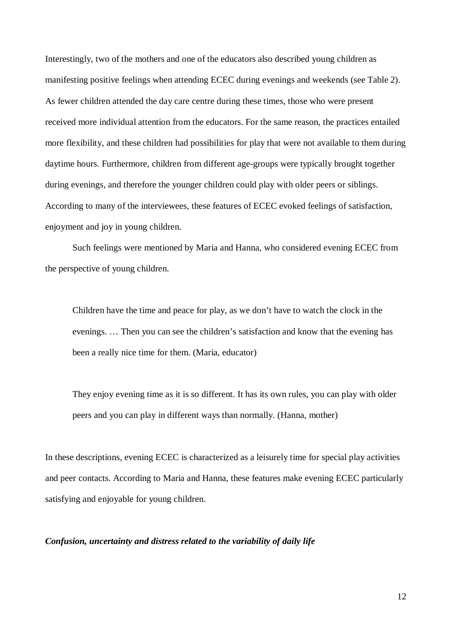Interestingly, two of the mothers and one of the educators also described young children as manifesting positive feelings when attending ECEC during evenings and weekends (see Table 2). As fewer children attended the day care centre during these times, those who were present received more individual attention from the educators. For the same reason, the practices entailed more flexibility, and these children had possibilities for play that were not available to them during daytime hours. Furthermore, children from different age-groups were typically brought together during evenings, and therefore the younger children could play with older peers or siblings. According to many of the interviewees, these features of ECEC evoked feelings of satisfaction, enjoyment and joy in young children.

Such feelings were mentioned by Maria and Hanna, who considered evening ECEC from the perspective of young children.

Children have the time and peace for play, as we don't have to watch the clock in the evenings. … Then you can see the children's satisfaction and know that the evening has been a really nice time for them. (Maria, educator)

They enjoy evening time as it is so different. It has its own rules, you can play with older peers and you can play in different ways than normally. (Hanna, mother)

In these descriptions, evening ECEC is characterized as a leisurely time for special play activities and peer contacts. According to Maria and Hanna, these features make evening ECEC particularly satisfying and enjoyable for young children.

### *Confusion, uncertainty and distress related to the variability of daily life*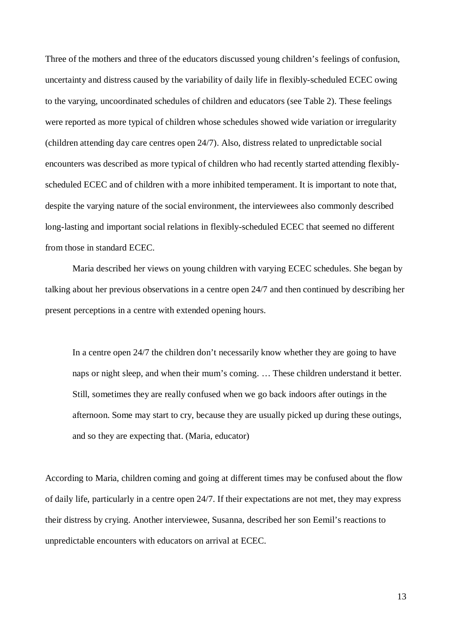Three of the mothers and three of the educators discussed young children's feelings of confusion, uncertainty and distress caused by the variability of daily life in flexibly-scheduled ECEC owing to the varying, uncoordinated schedules of children and educators (see Table 2). These feelings were reported as more typical of children whose schedules showed wide variation or irregularity (children attending day care centres open 24/7). Also, distress related to unpredictable social encounters was described as more typical of children who had recently started attending flexiblyscheduled ECEC and of children with a more inhibited temperament. It is important to note that, despite the varying nature of the social environment, the interviewees also commonly described long-lasting and important social relations in flexibly-scheduled ECEC that seemed no different from those in standard ECEC.

Maria described her views on young children with varying ECEC schedules. She began by talking about her previous observations in a centre open 24/7 and then continued by describing her present perceptions in a centre with extended opening hours.

In a centre open 24/7 the children don't necessarily know whether they are going to have naps or night sleep, and when their mum's coming. … These children understand it better. Still, sometimes they are really confused when we go back indoors after outings in the afternoon. Some may start to cry, because they are usually picked up during these outings, and so they are expecting that. (Maria, educator)

According to Maria, children coming and going at different times may be confused about the flow of daily life, particularly in a centre open 24/7. If their expectations are not met, they may express their distress by crying. Another interviewee, Susanna, described her son Eemil's reactions to unpredictable encounters with educators on arrival at ECEC.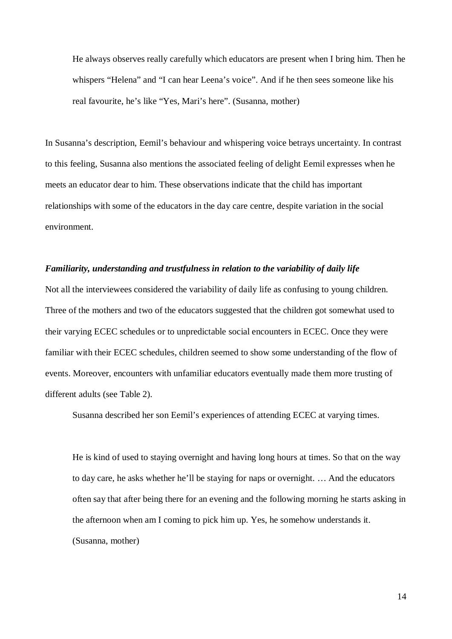He always observes really carefully which educators are present when I bring him. Then he whispers "Helena" and "I can hear Leena's voice". And if he then sees someone like his real favourite, he's like "Yes, Mari's here". (Susanna, mother)

In Susanna's description, Eemil's behaviour and whispering voice betrays uncertainty. In contrast to this feeling, Susanna also mentions the associated feeling of delight Eemil expresses when he meets an educator dear to him. These observations indicate that the child has important relationships with some of the educators in the day care centre, despite variation in the social environment.

#### *Familiarity, understanding and trustfulness in relation to the variability of daily life*

Not all the interviewees considered the variability of daily life as confusing to young children. Three of the mothers and two of the educators suggested that the children got somewhat used to their varying ECEC schedules or to unpredictable social encounters in ECEC. Once they were familiar with their ECEC schedules, children seemed to show some understanding of the flow of events. Moreover, encounters with unfamiliar educators eventually made them more trusting of different adults (see Table 2).

Susanna described her son Eemil's experiences of attending ECEC at varying times.

He is kind of used to staying overnight and having long hours at times. So that on the way to day care, he asks whether he'll be staying for naps or overnight. … And the educators often say that after being there for an evening and the following morning he starts asking in the afternoon when am I coming to pick him up. Yes, he somehow understands it. (Susanna, mother)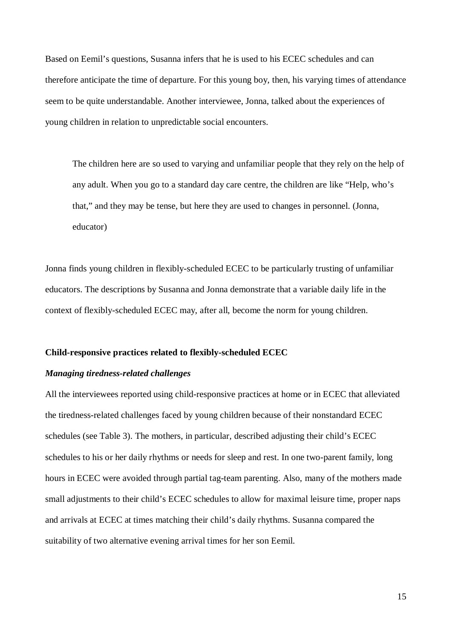Based on Eemil's questions, Susanna infers that he is used to his ECEC schedules and can therefore anticipate the time of departure. For this young boy, then, his varying times of attendance seem to be quite understandable. Another interviewee, Jonna, talked about the experiences of young children in relation to unpredictable social encounters.

The children here are so used to varying and unfamiliar people that they rely on the help of any adult. When you go to a standard day care centre, the children are like "Help, who's that," and they may be tense, but here they are used to changes in personnel. (Jonna, educator)

Jonna finds young children in flexibly-scheduled ECEC to be particularly trusting of unfamiliar educators. The descriptions by Susanna and Jonna demonstrate that a variable daily life in the context of flexibly-scheduled ECEC may, after all, become the norm for young children.

### **Child-responsive practices related to flexibly-scheduled ECEC**

# *Managing tiredness-related challenges*

All the interviewees reported using child-responsive practices at home or in ECEC that alleviated the tiredness-related challenges faced by young children because of their nonstandard ECEC schedules (see Table 3). The mothers, in particular, described adjusting their child's ECEC schedules to his or her daily rhythms or needs for sleep and rest. In one two-parent family, long hours in ECEC were avoided through partial tag-team parenting. Also, many of the mothers made small adjustments to their child's ECEC schedules to allow for maximal leisure time, proper naps and arrivals at ECEC at times matching their child's daily rhythms. Susanna compared the suitability of two alternative evening arrival times for her son Eemil.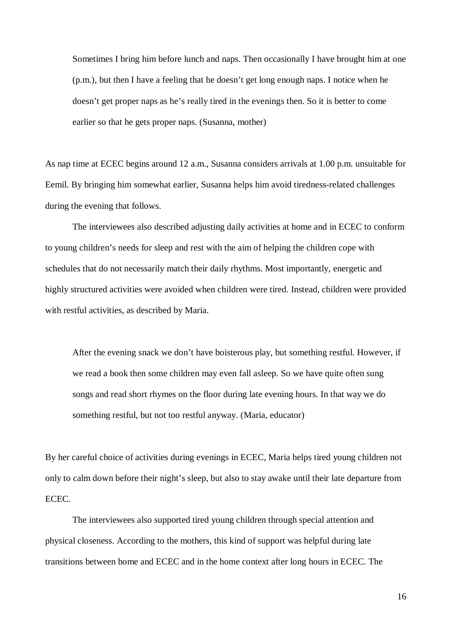Sometimes I bring him before lunch and naps. Then occasionally I have brought him at one (p.m.), but then I have a feeling that he doesn't get long enough naps. I notice when he doesn't get proper naps as he's really tired in the evenings then. So it is better to come earlier so that he gets proper naps. (Susanna, mother)

As nap time at ECEC begins around 12 a.m., Susanna considers arrivals at 1.00 p.m. unsuitable for Eemil. By bringing him somewhat earlier, Susanna helps him avoid tiredness-related challenges during the evening that follows.

The interviewees also described adjusting daily activities at home and in ECEC to conform to young children's needs for sleep and rest with the aim of helping the children cope with schedules that do not necessarily match their daily rhythms. Most importantly, energetic and highly structured activities were avoided when children were tired. Instead, children were provided with restful activities, as described by Maria.

After the evening snack we don't have boisterous play, but something restful. However, if we read a book then some children may even fall asleep. So we have quite often sung songs and read short rhymes on the floor during late evening hours. In that way we do something restful, but not too restful anyway. (Maria, educator)

By her careful choice of activities during evenings in ECEC, Maria helps tired young children not only to calm down before their night's sleep, but also to stay awake until their late departure from ECEC.

The interviewees also supported tired young children through special attention and physical closeness. According to the mothers, this kind of support was helpful during late transitions between home and ECEC and in the home context after long hours in ECEC. The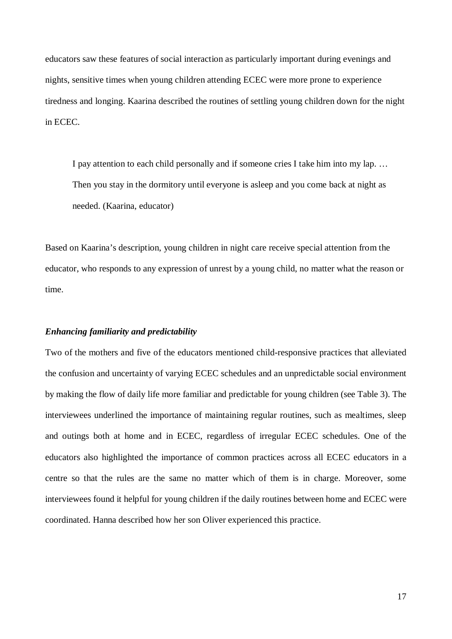educators saw these features of social interaction as particularly important during evenings and nights, sensitive times when young children attending ECEC were more prone to experience tiredness and longing. Kaarina described the routines of settling young children down for the night in ECEC.

I pay attention to each child personally and if someone cries I take him into my lap. … Then you stay in the dormitory until everyone is asleep and you come back at night as needed. (Kaarina, educator)

Based on Kaarina's description, young children in night care receive special attention from the educator, who responds to any expression of unrest by a young child, no matter what the reason or time.

#### *Enhancing familiarity and predictability*

Two of the mothers and five of the educators mentioned child-responsive practices that alleviated the confusion and uncertainty of varying ECEC schedules and an unpredictable social environment by making the flow of daily life more familiar and predictable for young children (see Table 3). The interviewees underlined the importance of maintaining regular routines, such as mealtimes, sleep and outings both at home and in ECEC, regardless of irregular ECEC schedules. One of the educators also highlighted the importance of common practices across all ECEC educators in a centre so that the rules are the same no matter which of them is in charge. Moreover, some interviewees found it helpful for young children if the daily routines between home and ECEC were coordinated. Hanna described how her son Oliver experienced this practice.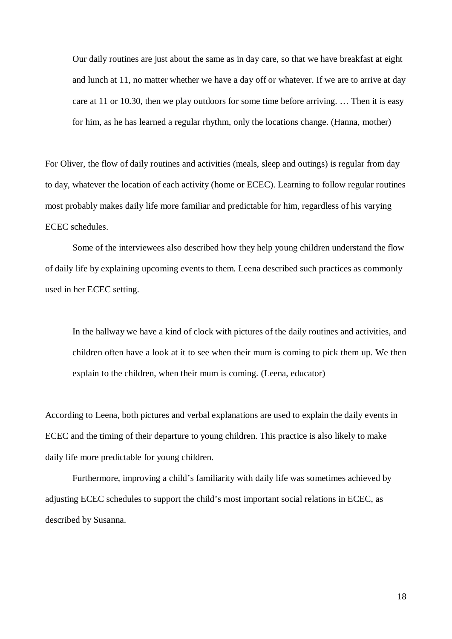Our daily routines are just about the same as in day care, so that we have breakfast at eight and lunch at 11, no matter whether we have a day off or whatever. If we are to arrive at day care at 11 or 10.30, then we play outdoors for some time before arriving. … Then it is easy for him, as he has learned a regular rhythm, only the locations change. (Hanna, mother)

For Oliver, the flow of daily routines and activities (meals, sleep and outings) is regular from day to day, whatever the location of each activity (home or ECEC). Learning to follow regular routines most probably makes daily life more familiar and predictable for him, regardless of his varying ECEC schedules.

Some of the interviewees also described how they help young children understand the flow of daily life by explaining upcoming events to them. Leena described such practices as commonly used in her ECEC setting.

In the hallway we have a kind of clock with pictures of the daily routines and activities, and children often have a look at it to see when their mum is coming to pick them up. We then explain to the children, when their mum is coming. (Leena, educator)

According to Leena, both pictures and verbal explanations are used to explain the daily events in ECEC and the timing of their departure to young children. This practice is also likely to make daily life more predictable for young children.

Furthermore, improving a child's familiarity with daily life was sometimes achieved by adjusting ECEC schedules to support the child's most important social relations in ECEC, as described by Susanna.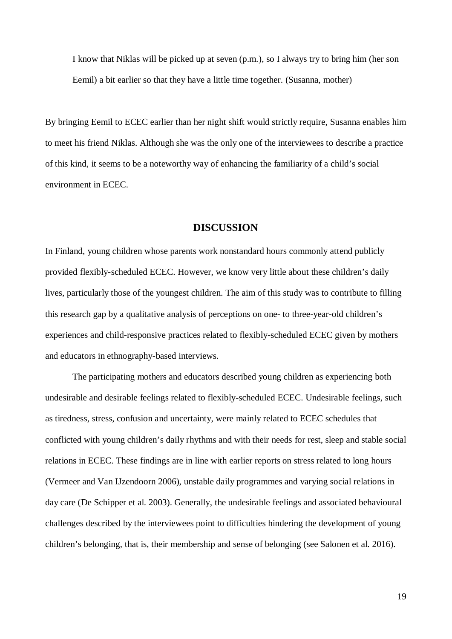I know that Niklas will be picked up at seven (p.m.), so I always try to bring him (her son Eemil) a bit earlier so that they have a little time together. (Susanna, mother)

By bringing Eemil to ECEC earlier than her night shift would strictly require, Susanna enables him to meet his friend Niklas. Although she was the only one of the interviewees to describe a practice of this kind, it seems to be a noteworthy way of enhancing the familiarity of a child's social environment in ECEC.

### **DISCUSSION**

In Finland, young children whose parents work nonstandard hours commonly attend publicly provided flexibly-scheduled ECEC. However, we know very little about these children's daily lives, particularly those of the youngest children. The aim of this study was to contribute to filling this research gap by a qualitative analysis of perceptions on one- to three-year-old children's experiences and child-responsive practices related to flexibly-scheduled ECEC given by mothers and educators in ethnography-based interviews.

The participating mothers and educators described young children as experiencing both undesirable and desirable feelings related to flexibly-scheduled ECEC. Undesirable feelings, such as tiredness, stress, confusion and uncertainty, were mainly related to ECEC schedules that conflicted with young children's daily rhythms and with their needs for rest, sleep and stable social relations in ECEC. These findings are in line with earlier reports on stress related to long hours (Vermeer and Van IJzendoorn 2006), unstable daily programmes and varying social relations in day care (De Schipper et al. 2003). Generally, the undesirable feelings and associated behavioural challenges described by the interviewees point to difficulties hindering the development of young children's belonging, that is, their membership and sense of belonging (see Salonen et al. 2016).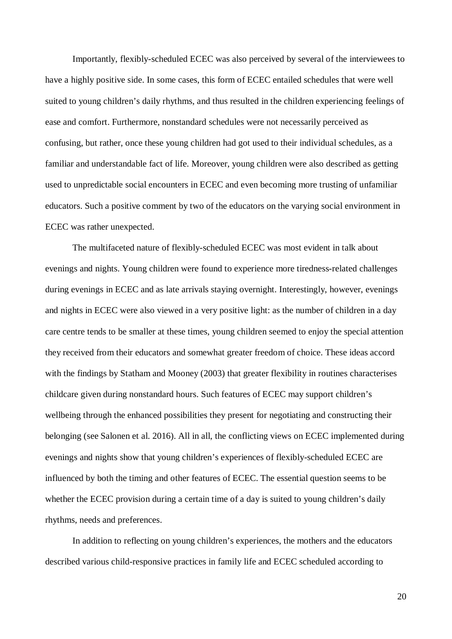Importantly, flexibly-scheduled ECEC was also perceived by several of the interviewees to have a highly positive side. In some cases, this form of ECEC entailed schedules that were well suited to young children's daily rhythms, and thus resulted in the children experiencing feelings of ease and comfort. Furthermore, nonstandard schedules were not necessarily perceived as confusing, but rather, once these young children had got used to their individual schedules, as a familiar and understandable fact of life. Moreover, young children were also described as getting used to unpredictable social encounters in ECEC and even becoming more trusting of unfamiliar educators. Such a positive comment by two of the educators on the varying social environment in ECEC was rather unexpected.

The multifaceted nature of flexibly-scheduled ECEC was most evident in talk about evenings and nights. Young children were found to experience more tiredness-related challenges during evenings in ECEC and as late arrivals staying overnight. Interestingly, however, evenings and nights in ECEC were also viewed in a very positive light: as the number of children in a day care centre tends to be smaller at these times, young children seemed to enjoy the special attention they received from their educators and somewhat greater freedom of choice. These ideas accord with the findings by Statham and Mooney (2003) that greater flexibility in routines characterises childcare given during nonstandard hours. Such features of ECEC may support children's wellbeing through the enhanced possibilities they present for negotiating and constructing their belonging (see Salonen et al. 2016). All in all, the conflicting views on ECEC implemented during evenings and nights show that young children's experiences of flexibly-scheduled ECEC are influenced by both the timing and other features of ECEC. The essential question seems to be whether the ECEC provision during a certain time of a day is suited to young children's daily rhythms, needs and preferences.

In addition to reflecting on young children's experiences, the mothers and the educators described various child-responsive practices in family life and ECEC scheduled according to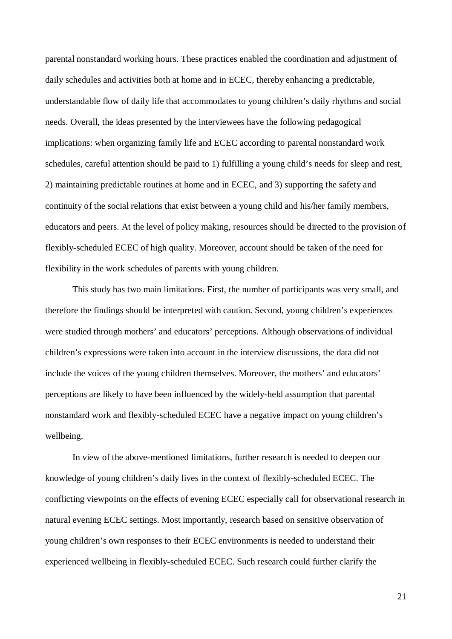parental nonstandard working hours. These practices enabled the coordination and adjustment of daily schedules and activities both at home and in ECEC, thereby enhancing a predictable, understandable flow of daily life that accommodates to young children's daily rhythms and social needs. Overall, the ideas presented by the interviewees have the following pedagogical implications: when organizing family life and ECEC according to parental nonstandard work schedules, careful attention should be paid to 1) fulfilling a young child's needs for sleep and rest, 2) maintaining predictable routines at home and in ECEC, and 3) supporting the safety and continuity of the social relations that exist between a young child and his/her family members, educators and peers. At the level of policy making, resources should be directed to the provision of flexibly-scheduled ECEC of high quality. Moreover, account should be taken of the need for flexibility in the work schedules of parents with young children.

This study has two main limitations. First, the number of participants was very small, and therefore the findings should be interpreted with caution. Second, young children's experiences were studied through mothers' and educators' perceptions. Although observations of individual children's expressions were taken into account in the interview discussions, the data did not include the voices of the young children themselves. Moreover, the mothers' and educators' perceptions are likely to have been influenced by the widely-held assumption that parental nonstandard work and flexibly-scheduled ECEC have a negative impact on young children's wellbeing.

In view of the above-mentioned limitations, further research is needed to deepen our knowledge of young children's daily lives in the context of flexibly-scheduled ECEC. The conflicting viewpoints on the effects of evening ECEC especially call for observational research in natural evening ECEC settings. Most importantly, research based on sensitive observation of young children's own responses to their ECEC environments is needed to understand their experienced wellbeing in flexibly-scheduled ECEC. Such research could further clarify the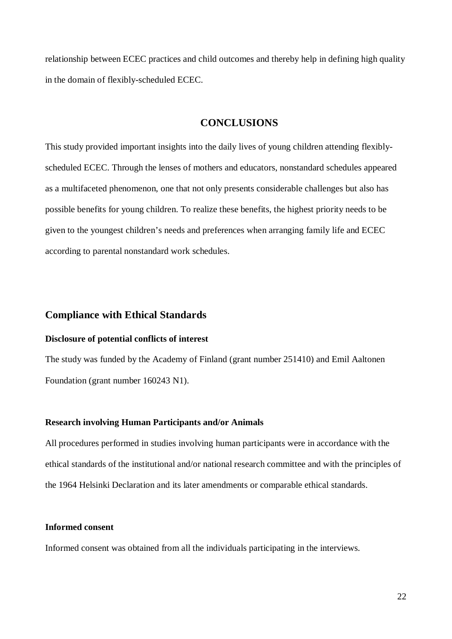relationship between ECEC practices and child outcomes and thereby help in defining high quality in the domain of flexibly-scheduled ECEC.

# **CONCLUSIONS**

This study provided important insights into the daily lives of young children attending flexiblyscheduled ECEC. Through the lenses of mothers and educators, nonstandard schedules appeared as a multifaceted phenomenon, one that not only presents considerable challenges but also has possible benefits for young children. To realize these benefits, the highest priority needs to be given to the youngest children's needs and preferences when arranging family life and ECEC according to parental nonstandard work schedules.

# **Compliance with Ethical Standards**

# **Disclosure of potential conflicts of interest**

The study was funded by the Academy of Finland (grant number 251410) and Emil Aaltonen Foundation (grant number 160243 N1).

# **Research involving Human Participants and/or Animals**

All procedures performed in studies involving human participants were in accordance with the ethical standards of the institutional and/or national research committee and with the principles of the 1964 Helsinki Declaration and its later amendments or comparable ethical standards.

### **Informed consent**

Informed consent was obtained from all the individuals participating in the interviews.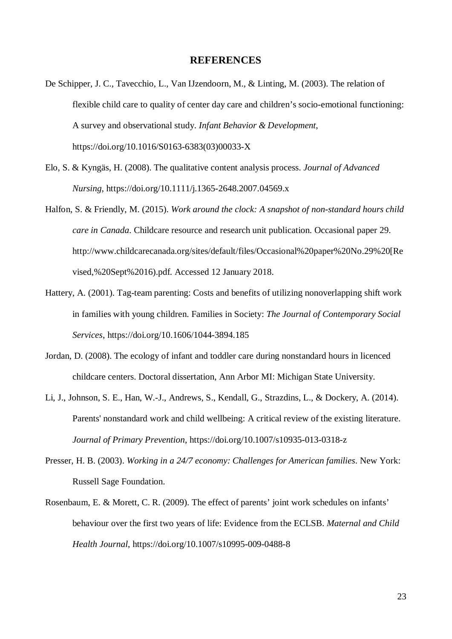### **REFERENCES**

- De Schipper, J. C., Tavecchio, L., Van IJzendoorn, M., & Linting, M. (2003). The relation of flexible child care to quality of center day care and children's socio-emotional functioning: A survey and observational study. *Infant Behavior & Development*, https://doi.org/10.1016/S0163-6383(03)00033-X
- Elo, S. & Kyngäs, H. (2008). The qualitative content analysis process. *Journal of Advanced Nursing*, https://doi.org/10.1111/j.1365-2648.2007.04569.x
- Halfon, S. & Friendly, M. (2015). *Work around the clock: A snapshot of non-standard hours child care in Canada*. Childcare resource and research unit publication. Occasional paper 29. http://www.childcarecanada.org/sites/default/files/Occasional%20paper%20No.29%20[Re vised,%20Sept%2016).pdf. Accessed 12 January 2018.
- Hattery, A. (2001). Tag-team parenting: Costs and benefits of utilizing nonoverlapping shift work in families with young children. Families in Society: *The Journal of Contemporary Social Services*, https://doi.org/10.1606/1044-3894.185
- Jordan, D. (2008). The ecology of infant and toddler care during nonstandard hours in licenced childcare centers. Doctoral dissertation, Ann Arbor MI: Michigan State University.
- Li, J., Johnson, S. E., Han, W.-J., Andrews, S., Kendall, G., Strazdins, L., & Dockery, A. (2014). Parents' nonstandard work and child wellbeing: A critical review of the existing literature. *Journal of Primary Prevention*, https://doi.org/10.1007/s10935-013-0318-z
- Presser, H. B. (2003). *Working in a 24/7 economy: Challenges for American families*. New York: Russell Sage Foundation.
- Rosenbaum, E. & Morett, C. R. (2009). The effect of parents' joint work schedules on infants' behaviour over the first two years of life: Evidence from the ECLSB. *Maternal and Child Health Journal*, https://doi.org/10.1007/s10995-009-0488-8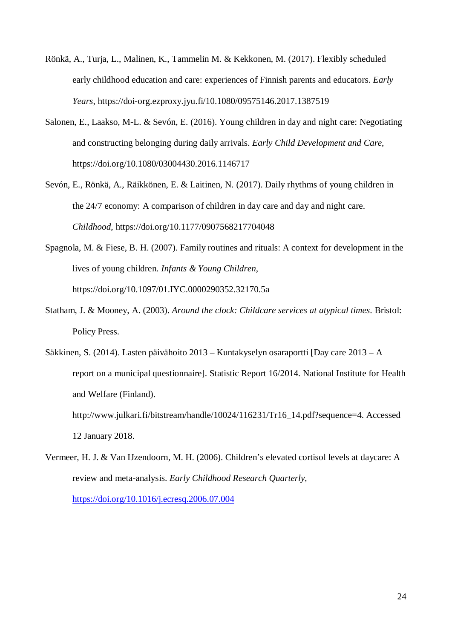- Rönkä, A., Turja, L., Malinen, K., Tammelin M. & Kekkonen, M. (2017). Flexibly scheduled early childhood education and care: experiences of Finnish parents and educators. *Early Years*, https://doi-org.ezproxy.jyu.fi/10.1080/09575146.2017.1387519
- Salonen, E., Laakso, M-L. & Sevón, E. (2016). Young children in day and night care: Negotiating and constructing belonging during daily arrivals. *Early Child Development and Care*, https://doi.org/10.1080/03004430.2016.1146717
- Sevón, E., Rönkä, A., Räikkönen, E. & Laitinen, N. (2017). Daily rhythms of young children in the 24/7 economy: A comparison of children in day care and day and night care. *Childhood*, https://doi.org/10.1177/0907568217704048
- Spagnola, M. & Fiese, B. H. (2007). Family routines and rituals: A context for development in the lives of young children. *Infants & Young Children*, https://doi.org/10.1097/01.IYC.0000290352.32170.5a
- Statham, J. & Mooney, A. (2003). *Around the clock: Childcare services at atypical times*. Bristol: Policy Press.
- Säkkinen, S. (2014). Lasten päivähoito 2013 Kuntakyselyn osaraportti [Day care 2013 A report on a municipal questionnaire]. Statistic Report 16/2014. National Institute for Health and Welfare (Finland).

http://www.julkari.fi/bitstream/handle/10024/116231/Tr16\_14.pdf?sequence=4. Accessed 12 January 2018.

Vermeer, H. J. & Van IJzendoorn, M. H. (2006). Children's elevated cortisol levels at daycare: A review and meta-analysis. *Early Childhood Research Quarterly*, https://doi.org/10.1016/j.ecresq.2006.07.004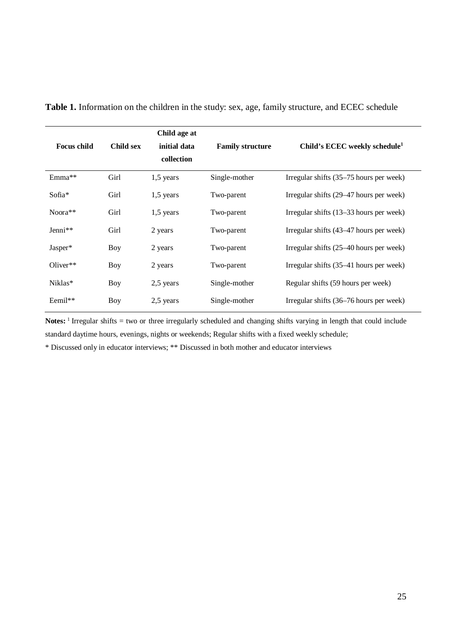| <b>Focus child</b> | Child sex  | Child age at<br>initial data<br>collection | <b>Family structure</b> | Child's ECEC weekly schedule <sup>1</sup> |
|--------------------|------------|--------------------------------------------|-------------------------|-------------------------------------------|
| Emma <sup>**</sup> | Girl       | $1,5$ years                                | Single-mother           | Irregular shifts (35–75 hours per week)   |
| Sofia*             | Girl       | $1,5$ years                                | Two-parent              | Irregular shifts (29–47 hours per week)   |
| $Noora**$          | Girl       | $1,5$ years                                | Two-parent              | Irregular shifts (13–33 hours per week)   |
| Jenni**            | Girl       | 2 years                                    | Two-parent              | Irregular shifts (43–47 hours per week)   |
| Jasper*            | Boy        | 2 years                                    | Two-parent              | Irregular shifts (25–40 hours per week)   |
| Oliver $**$        | Boy        | 2 years                                    | Two-parent              | Irregular shifts (35–41 hours per week)   |
| Niklas*            | <b>Boy</b> | 2,5 years                                  | Single-mother           | Regular shifts (59 hours per week)        |
| Eemil**            | Boy        | 2,5 years                                  | Single-mother           | Irregular shifts (36–76 hours per week)   |

**Table 1.** Information on the children in the study: sex, age, family structure, and ECEC schedule

Notes:<sup>1</sup> Irregular shifts = two or three irregularly scheduled and changing shifts varying in length that could include standard daytime hours, evenings, nights or weekends; Regular shifts with a fixed weekly schedule;

\* Discussed only in educator interviews; \*\* Discussed in both mother and educator interviews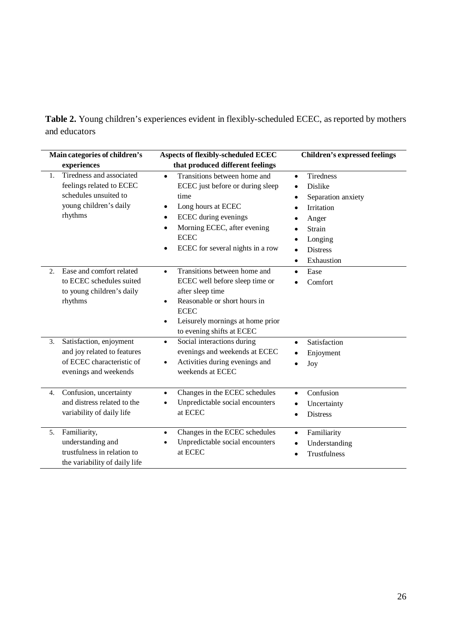**Table 2.** Young children's experiences evident in flexibly-scheduled ECEC, as reported by mothers and educators

| Main categories of children's |                                                                                                                    | <b>Aspects of flexibly-scheduled ECEC</b>                                                                                                                                                                                                            | <b>Children's expressed feelings</b>                                                                                                                                                             |
|-------------------------------|--------------------------------------------------------------------------------------------------------------------|------------------------------------------------------------------------------------------------------------------------------------------------------------------------------------------------------------------------------------------------------|--------------------------------------------------------------------------------------------------------------------------------------------------------------------------------------------------|
|                               | experiences                                                                                                        | that produced different feelings                                                                                                                                                                                                                     |                                                                                                                                                                                                  |
| 1.                            | Tiredness and associated<br>feelings related to ECEC<br>schedules unsuited to<br>young children's daily<br>rhythms | Transitions between home and<br>$\bullet$<br>ECEC just before or during sleep<br>time<br>Long hours at ECEC<br>٠<br>ECEC during evenings<br>$\bullet$<br>Morning ECEC, after evening<br>$\bullet$<br><b>ECEC</b><br>ECEC for several nights in a row | <b>Tiredness</b><br>$\bullet$<br><b>Dislike</b><br>٠<br>Separation anxiety<br>Irritation<br>٠<br>Anger<br>٠<br>Strain<br>Longing<br>٠<br><b>Distress</b><br>$\bullet$<br>Exhaustion<br>$\bullet$ |
| 2.                            | Ease and comfort related<br>to ECEC schedules suited<br>to young children's daily<br>rhythms                       | Transitions between home and<br>$\bullet$<br>ECEC well before sleep time or<br>after sleep time<br>Reasonable or short hours in<br>$\bullet$<br><b>ECEC</b><br>Leisurely mornings at home prior<br>$\bullet$<br>to evening shifts at ECEC            | Ease<br>$\bullet$<br>Comfort<br>$\bullet$                                                                                                                                                        |
| 3.                            | Satisfaction, enjoyment<br>and joy related to features<br>of ECEC characteristic of<br>evenings and weekends       | Social interactions during<br>$\bullet$<br>evenings and weekends at ECEC<br>Activities during evenings and<br>$\bullet$<br>weekends at ECEC                                                                                                          | Satisfaction<br>$\bullet$<br>Enjoyment<br>$\bullet$<br>Joy<br>$\bullet$                                                                                                                          |
| 4.                            | Confusion, uncertainty<br>and distress related to the<br>variability of daily life                                 | Changes in the ECEC schedules<br>$\bullet$<br>Unpredictable social encounters<br>at ECEC                                                                                                                                                             | Confusion<br>$\bullet$<br>Uncertainty<br>$\bullet$<br><b>Distress</b><br>$\bullet$                                                                                                               |
| 5.                            | Familiarity,<br>understanding and<br>trustfulness in relation to<br>the variability of daily life                  | Changes in the ECEC schedules<br>$\bullet$<br>Unpredictable social encounters<br>at ECEC                                                                                                                                                             | Familiarity<br>$\bullet$<br>Understanding<br>$\bullet$<br>Trustfulness<br>$\bullet$                                                                                                              |